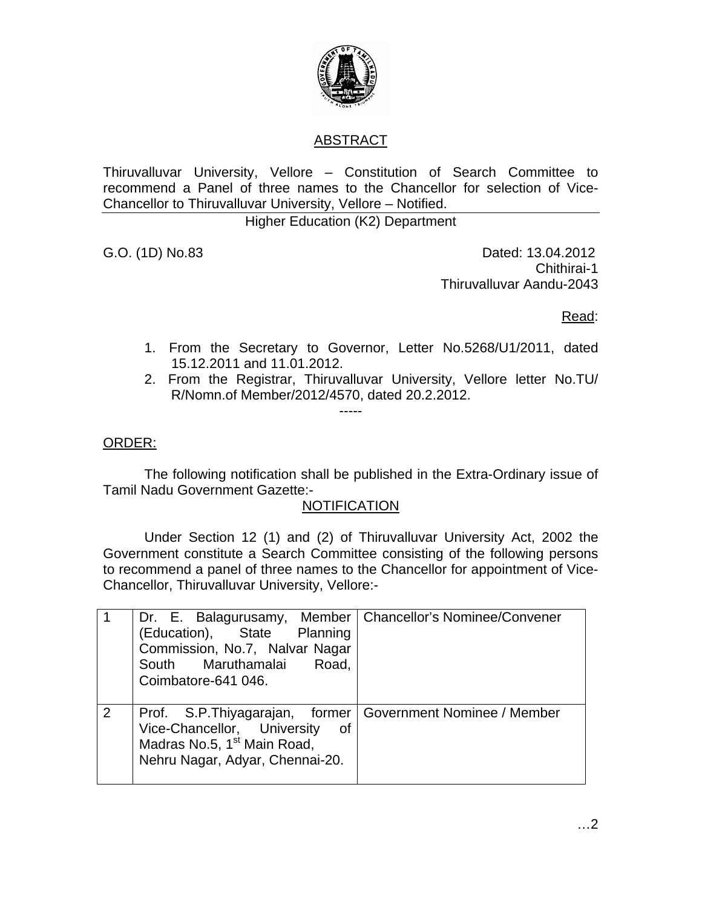

# ABSTRACT

Thiruvalluvar University, Vellore – Constitution of Search Committee to recommend a Panel of three names to the Chancellor for selection of Vice-Chancellor to Thiruvalluvar University, Vellore – Notified.

Higher Education (K2) Department

G.O. (1D) No.83 Dated: 13.04.2012 Chithirai-1 Thiruvalluvar Aandu-2043

Read:

- 1. From the Secretary to Governor, Letter No.5268/U1/2011, dated 15.12.2011 and 11.01.2012.
- 2. From the Registrar, Thiruvalluvar University, Vellore letter No.TU/ R/Nomn.of Member/2012/4570, dated 20.2.2012.

### ORDER:

 The following notification shall be published in the Extra-Ordinary issue of Tamil Nadu Government Gazette:-

-----

#### **NOTIFICATION**

 Under Section 12 (1) and (2) of Thiruvalluvar University Act, 2002 the Government constitute a Search Committee consisting of the following persons to recommend a panel of three names to the Chancellor for appointment of Vice-Chancellor, Thiruvalluvar University, Vellore:-

|   | Dr. E. Balagurusamy, Member   Chancellor's Nominee/Convener<br>(Education), State<br>Planning<br>Commission, No.7, Nalvar Nagar<br>South Maruthamalai<br>Road,<br>Coimbatore-641 046. |                             |
|---|---------------------------------------------------------------------------------------------------------------------------------------------------------------------------------------|-----------------------------|
| 2 | Prof. S.P. Thiyagarajan, former<br>Vice-Chancellor, University<br>0f<br>Madras No.5, 1 <sup>st</sup> Main Road,<br>Nehru Nagar, Adyar, Chennai-20.                                    | Government Nominee / Member |